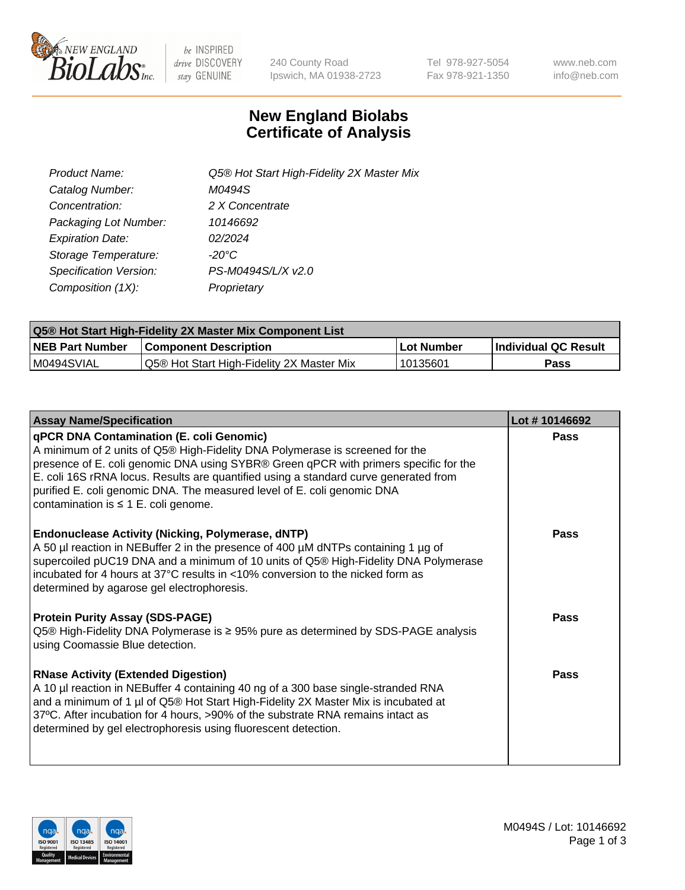

be INSPIRED drive DISCOVERY stay GENUINE

240 County Road Ipswich, MA 01938-2723 Tel 978-927-5054 Fax 978-921-1350 www.neb.com info@neb.com

## **New England Biolabs Certificate of Analysis**

| Product Name:           | Q5® Hot Start High-Fidelity 2X Master Mix |
|-------------------------|-------------------------------------------|
| Catalog Number:         | M0494S                                    |
| Concentration:          | 2 X Concentrate                           |
| Packaging Lot Number:   | 10146692                                  |
| <b>Expiration Date:</b> | 02/2024                                   |
| Storage Temperature:    | -20°C                                     |
| Specification Version:  | PS-M0494S/L/X v2.0                        |
| Composition (1X):       | Proprietary                               |

| <b>Q5® Hot Start High-Fidelity 2X Master Mix Component List</b> |                                           |             |                      |  |  |
|-----------------------------------------------------------------|-------------------------------------------|-------------|----------------------|--|--|
| <b>NEB Part Number</b>                                          | Component Description_                    | ∣Lot Number | Individual QC Result |  |  |
| I M0494SVIAL                                                    | Q5® Hot Start High-Fidelity 2X Master Mix | 10135601    | Pass                 |  |  |

| <b>Assay Name/Specification</b>                                                                                                                                                                                                                                                                                                                                                                                                         | Lot #10146692 |
|-----------------------------------------------------------------------------------------------------------------------------------------------------------------------------------------------------------------------------------------------------------------------------------------------------------------------------------------------------------------------------------------------------------------------------------------|---------------|
| <b>qPCR DNA Contamination (E. coli Genomic)</b><br>A minimum of 2 units of Q5® High-Fidelity DNA Polymerase is screened for the<br>presence of E. coli genomic DNA using SYBR® Green qPCR with primers specific for the<br>E. coli 16S rRNA locus. Results are quantified using a standard curve generated from<br>purified E. coli genomic DNA. The measured level of E. coli genomic DNA<br>contamination is $\leq 1$ E. coli genome. | Pass          |
| <b>Endonuclease Activity (Nicking, Polymerase, dNTP)</b><br>A 50 µl reaction in NEBuffer 2 in the presence of 400 µM dNTPs containing 1 µg of<br>supercoiled pUC19 DNA and a minimum of 10 units of Q5® High-Fidelity DNA Polymerase<br>incubated for 4 hours at 37°C results in <10% conversion to the nicked form as<br>determined by agarose gel electrophoresis.                                                                    | Pass          |
| <b>Protein Purity Assay (SDS-PAGE)</b><br>Q5 <sup>®</sup> High-Fidelity DNA Polymerase is ≥ 95% pure as determined by SDS-PAGE analysis<br>using Coomassie Blue detection.                                                                                                                                                                                                                                                              | Pass          |
| <b>RNase Activity (Extended Digestion)</b><br>A 10 µl reaction in NEBuffer 4 containing 40 ng of a 300 base single-stranded RNA<br>and a minimum of 1 µl of Q5® Hot Start High-Fidelity 2X Master Mix is incubated at<br>37°C. After incubation for 4 hours, >90% of the substrate RNA remains intact as<br>determined by gel electrophoresis using fluorescent detection.                                                              | Pass          |

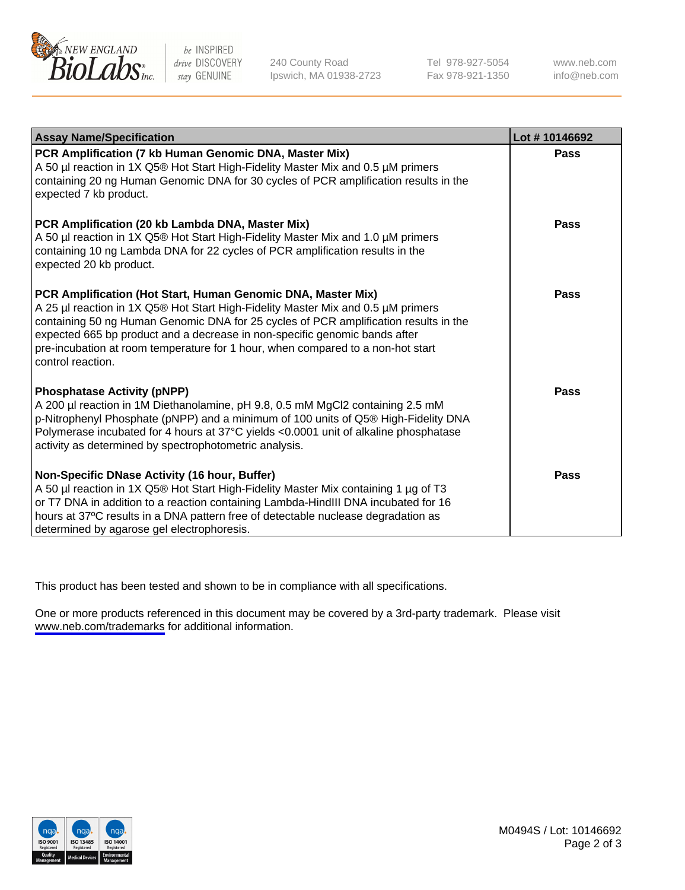

be INSPIRED drive DISCOVERY stay GENUINE

240 County Road Ipswich, MA 01938-2723 Tel 978-927-5054 Fax 978-921-1350

www.neb.com info@neb.com

| <b>Assay Name/Specification</b>                                                                                                                                                                                                                                                                                                                                                                                                | Lot #10146692 |
|--------------------------------------------------------------------------------------------------------------------------------------------------------------------------------------------------------------------------------------------------------------------------------------------------------------------------------------------------------------------------------------------------------------------------------|---------------|
| PCR Amplification (7 kb Human Genomic DNA, Master Mix)<br>A 50 µl reaction in 1X Q5® Hot Start High-Fidelity Master Mix and 0.5 µM primers<br>containing 20 ng Human Genomic DNA for 30 cycles of PCR amplification results in the<br>expected 7 kb product.                                                                                                                                                                   | Pass          |
| PCR Amplification (20 kb Lambda DNA, Master Mix)<br>A 50 µl reaction in 1X Q5® Hot Start High-Fidelity Master Mix and 1.0 µM primers<br>containing 10 ng Lambda DNA for 22 cycles of PCR amplification results in the<br>expected 20 kb product.                                                                                                                                                                               | Pass          |
| PCR Amplification (Hot Start, Human Genomic DNA, Master Mix)<br>A 25 µl reaction in 1X Q5® Hot Start High-Fidelity Master Mix and 0.5 µM primers<br>containing 50 ng Human Genomic DNA for 25 cycles of PCR amplification results in the<br>expected 665 bp product and a decrease in non-specific genomic bands after<br>pre-incubation at room temperature for 1 hour, when compared to a non-hot start<br>control reaction. | Pass          |
| <b>Phosphatase Activity (pNPP)</b><br>A 200 µl reaction in 1M Diethanolamine, pH 9.8, 0.5 mM MgCl2 containing 2.5 mM<br>p-Nitrophenyl Phosphate (pNPP) and a minimum of 100 units of Q5® High-Fidelity DNA<br>Polymerase incubated for 4 hours at 37°C yields <0.0001 unit of alkaline phosphatase<br>activity as determined by spectrophotometric analysis.                                                                   | Pass          |
| Non-Specific DNase Activity (16 hour, Buffer)<br>A 50 µl reaction in 1X Q5® Hot Start High-Fidelity Master Mix containing 1 µg of T3<br>or T7 DNA in addition to a reaction containing Lambda-HindIII DNA incubated for 16<br>hours at 37°C results in a DNA pattern free of detectable nuclease degradation as<br>determined by agarose gel electrophoresis.                                                                  | Pass          |

This product has been tested and shown to be in compliance with all specifications.

One or more products referenced in this document may be covered by a 3rd-party trademark. Please visit <www.neb.com/trademarks>for additional information.